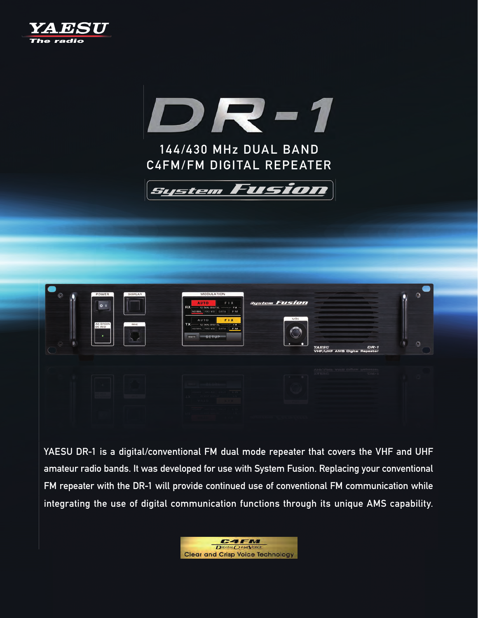



C4FM/FM DIGITAL REPEATER





YAESU DR-1 is a digital/conventional FM dual mode repeater that covers the VHF and UHF amateur radio bands. It was developed for use with System Fusion. Replacing your conventional FM repeater with the DR-1 will provide continued use of conventional FM communication while integrating the use of digital communication functions through its unique AMS capability.